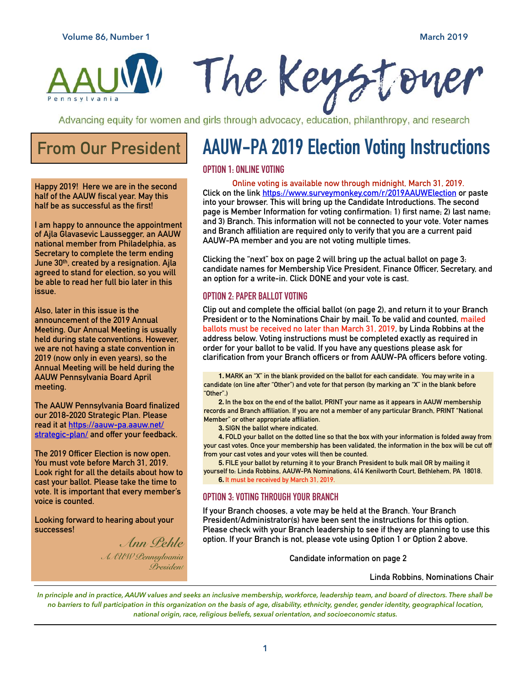

The Keysto

Advancing equity for women and girls through advocacy, education, philanthropy, and research

## **From Our President**

**Happy 2019! Here we are in the second half of the AAUW fiscal year. May this half be as successful as the first!** 

**I am happy to announce the appointment of Ajla Glavasevic Laussegger, an AAUW national member from Philadelphia, as Secretary to complete the term ending June 30th, created by a resignation. Ajla agreed to stand for election, so you will be able to read her full bio later in this issue.** 

**Also, later in this issue is the announcement of the 2019 Annual Meeting. Our Annual Meeting is usually held during state conventions. However, we are not having a state convention in 2019 (now only in even years), so the Annual Meeting will be held during the AAUW Pennsylvania Board April meeting.** 

**The AAUW Pennsylvania Board finalized our 2018-2020 Strategic Plan. Please read it at [https://aauw-pa.aauw.net/](https://aauw-pa.aauw.net/strategic-plan/) [strategic-plan/ and offer your feedba](https://aauw-pa.aauw.net/strategic-plan/)ck.** 

**The 2019 Officer Election is now open. You must vote before March 31, 2019. Look right for all the details about how to cast your ballot. Please take the time to vote. It is important that every member's voice is counted.** 

**Looking forward to hearing about your successes!** 

> *Ann Pehle AAUW Pennsylvania President*

# **AAUW-PA 2019 Election Voting Instructions**

**Online voting is available now through midnight, March 31, 2019. Click on the link <https://www.surveymonkey.com/r/2019AAUWElection> or paste into your browser. This will bring up the Candidate Introductions. The second page is Member Information for voting confirmation: 1) first name; 2) last name; and 3) Branch. This information will not be connected to your vote. Voter names and Branch affiliation are required only to verify that you are a current paid AAUW-PA member and you are not voting multiple times.** 

**Clicking the "next" box on page 2 will bring up the actual ballot on page 3: candidate names for Membership Vice President, Finance Officer, Secretary, and an option for a write-in. Click DONE and your vote is cast.** 

#### **OPTION 2: PAPER BALLOT VOTING**

**Clip out and complete the official ballot (on page 2), and return it to your Branch President or to the Nominations Chair by mail. To be valid and counted, mailed ballots must be received no later than March 31, 2019, by Linda Robbins at the address below. Voting instructions must be completed exactly as required in order for your ballot to be valid. If you have any questions please ask for clarification from your Branch officers or from AAUW-PA officers before voting.** 

**1. MARK an "X" in the blank provided on the ballot for each candidate. You may write in a candidate (on line after "Other") and vote for that person (by marking an "X" in the blank before "Other".)** 

**2. In the box on the end of the ballot, PRINT your name as it appears in AAUW membership records and Branch affiliation. If you are not a member of any particular Branch, PRINT "National Member" or other appropriate affiliation.** 

**3. SIGN the ballot where indicated.** 

**4. FOLD your ballot on the dotted line so that the box with your information is folded away from your cast votes. Once your membership has been validated, the information in the box will be cut off from your cast votes and your votes will then be counted.** 

**5. FILE your ballot by returning it to your Branch President to bulk mail OR by mailing it yourself to: Linda Robbins, AAUW-PA Nominations, 414 Kenilworth Court, Bethlehem, PA 18018. 6. It must be received by March 31, 2019.**

### **OPTION 3: VOTING THROUGH YOUR BRANCH**

**If your Branch chooses, a vote may be held at the Branch. Your Branch President/Administrator(s) have been sent the instructions for this option. Please check with your Branch leadership to see if they are planning to use this option. If your Branch is not, please vote using Option 1 or Option 2 above.** 

**Candidate information on page 2** 

#### **Linda Robbins, Nominations Chair**

*In principle and in practice, AAUW values and seeks an inclusive membership, workforce, leadership team, and board of directors. There shall be no barriers to full participation in this organization on the basis of age, disability, ethnicity, gender, gender identity, geographical location, national origin, race, religious beliefs, sexual orientation, and socioeconomic status.*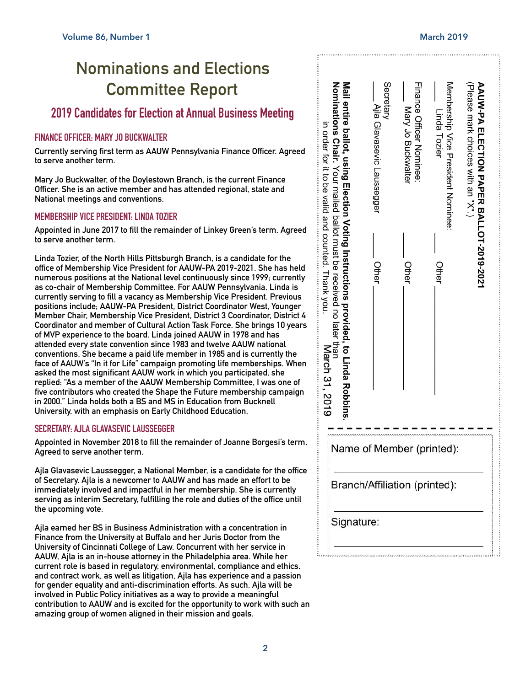## **Nominations and Elections Committee Report**

## **2019 Candidates for Election at Annual Business Meeting**

## **FINANCE OFFICER: MARY JO BUCKWALTER**

**Currently serving first term as AAUW Pennsylvania Finance Officer. Agreed to serve another term.** 

**Mary Jo Buckwalter, of the Doylestown Branch, is the current Finance Officer. She is an active member and has attended regional, state and National meetings and conventions.** 

### **MEMBERSHIP VICE PRESIDENT: LINDA TOZIER**

**Appointed in June 2017 to fill the remainder of Linkey Green's term. Agreed to serve another term.** 

**Linda Tozier, of the North Hills Pittsburgh Branch, is a candidate for the office of Membership Vice President for AAUW-PA 2019-2021. She has held numerous positions at the National level continuously since 1999; currently as co-chair of Membership Committee. For AAUW Pennsylvania, Linda is currently serving to fill a vacancy as Membership Vice President. Previous positions include; AAUW-PA President, District Coordinator West, Younger Member Chair, Membership Vice President, District 3 Coordinator, District 4 Coordinator and member of Cultural Action Task Force. She brings 10 years of MVP experience to the board. Linda joined AAUW in 1978 and has attended every state convention since 1983 and twelve AAUW national conventions. She became a paid life member in 1985 and is currently the face of AAUW's "In it for Life" campaign promoting life memberships. When asked the most significant AAUW work in which you participated, she replied: "As a member of the AAUW Membership Committee, I was one of five contributors who created the Shape the Future membership campaign in 2000." Linda holds both a BS and MS in Education from Bucknell University, with an emphasis on Early Childhood Education.** 

### **SECRETARY: AJLA GLAVASEVIC LAUSSEGGER**

**Appointed in November 2018 to fill the remainder of Joanne Borgesi's term. Agreed to serve another term.** 

**Ajla Glavasevic Laussegger, a National Member, is a candidate for the office of Secretary. Ajla is a newcomer to AAUW and has made an effort to be immediately involved and impactful in her membership. She is currently serving as interim Secretary, fulfilling the role and duties of the office until the upcoming vote.** 

**Ajla earned her BS in Business Administration with a concentration in Finance from the University at Buffalo and her Juris Doctor from the University of Cincinnati College of Law. Concurrent with her service in AAUW, Ajla is an in-house attorney in the Philadelphia area. While her current role is based in regulatory, environmental, compliance and ethics, and contract work, as well as litigation, Ajla has experience and a passion for gender equality and anti-discrimination efforts. As such, Ajla will be involved in Public Policy initiatives as a way to provide a meaningful contribution to AAUW and is excited for the opportunity to work with such an amazing group of women aligned in their mission and goals.** 

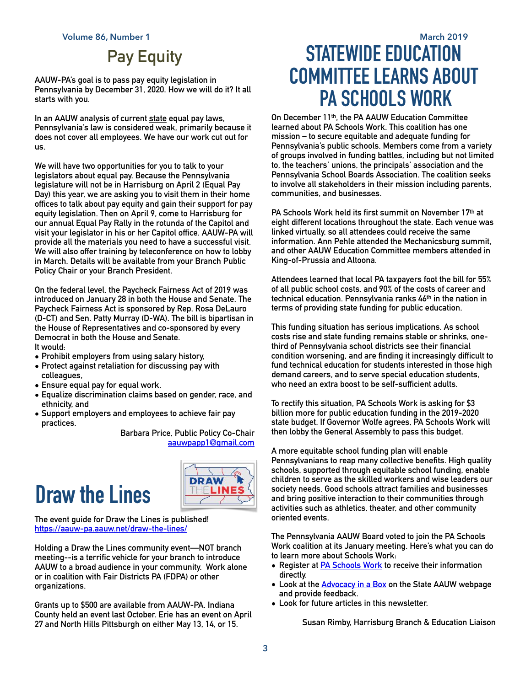## **Pay Equity**

**AAUW-PA's goal is to pass pay equity legislation in Pennsylvania by December 31, 2020. How we will do it? It all starts with you.** 

**In an AAUW analysis of current [state](https://www.aauw.org/resource/state-equal-pay-laws/) equal pay laws, Pennsylvania's law is considered weak, primarily because it does not cover all employees. We have our work cut out for us.** 

**We will have two opportunities for you to talk to your legislators about equal pay. Because the Pennsylvania legislature will not be in Harrisburg on April 2 (Equal Pay Day) this year, we are asking you to visit them in their home offices to talk about pay equity and gain their support for pay equity legislation. Then on April 9, come to Harrisburg for our annual Equal Pay Rally in the rotunda of the Capitol and visit your legislator in his or her Capitol office. AAUW-PA will provide all the materials you need to have a successful visit. We will also offer training by teleconference on how to lobby in March. Details will be available from your Branch Public Policy Chair or your Branch President.** 

**On the federal level, the Paycheck Fairness Act of 2019 was introduced on January 28 in both the House and Senate. The Paycheck Fairness Act is sponsored by Rep. Rosa DeLauro (D-CT) and Sen. Patty Murray (D-WA). The bill is bipartisan in the House of Representatives and co-sponsored by every Democrat in both the House and Senate. It would:** 

- **• Prohibit employers from using salary history,**
- **• Protect against retaliation for discussing pay with colleagues,**
- **• Ensure equal pay for equal work,**
- **• Equalize discrimination claims based on gender, race, and ethnicity, and**
- **• Support employers and employees to achieve fair pay practices.**

**Barbara Price, Public Policy Co-Chair [aauwpapp1@gmail.com](mailto:aauwpapp1@gmail.com)**

## **Draw the Lines**



**The event guide for Draw the Lines is published! <https://aauw-pa.aauw.net/draw-the-lines/>**

**Holding a Draw the Lines community event—NOT branch meeting--is a terrific vehicle for your branch to introduce AAUW to a broad audience in your community. Work alone or in coalition with Fair Districts PA (FDPA) or other organizations.** 

**Grants up to \$500 are available from AAUW-PA. Indiana County held an event last October. Erie has an event on April 27 and North Hills Pittsburgh on either May 13, 14, or 15.** 

## **Volume 86, Number 1 March 2019 STATEWIDE EDUCATION COMMITTEE LEARNS ABOUT PA SCHOOLS WORK**

**On December 11th, the PA AAUW Education Committee learned about PA Schools Work. This coalition has one mission – to secure equitable and adequate funding for Pennsylvania's public schools. Members come from a variety of groups involved in funding battles, including but not limited to, the teachers' unions, the principals' association and the Pennsylvania School Boards Association. The coalition seeks to involve all stakeholders in their mission including parents, communities, and businesses.** 

**PA Schools Work held its first summit on November 17th at eight different locations throughout the state. Each venue was linked virtually, so all attendees could receive the same information. Ann Pehle attended the Mechanicsburg summit, and other AAUW Education Committee members attended in King-of-Prussia and Altoona.** 

**Attendees learned that local PA taxpayers foot the bill for 55% of all public school costs, and 90% of the costs of career and technical education. Pennsylvania ranks 46th in the nation in terms of providing state funding for public education.** 

**This funding situation has serious implications. As school costs rise and state funding remains stable or shrinks, onethird of Pennsylvania school districts see their financial condition worsening, and are finding it increasingly difficult to fund technical education for students interested in those high demand careers, and to serve special education students, who need an extra boost to be self-sufficient adults.** 

**To rectify this situation, PA Schools Work is asking for \$3 billion more for public education funding in the 2019-2020 state budget. If Governor Wolfe agrees, PA Schools Work will then lobby the General Assembly to pass this budget.** 

**A more equitable school funding plan will enable Pennsylvanians to reap many collective benefits. High quality schools, supported through equitable school funding, enable children to serve as the skilled workers and wise leaders our society needs. Good schools attract families and businesses and bring positive interaction to their communities through activities such as athletics, theater, and other community oriented events.** 

**The Pennsylvania AAUW Board voted to join the PA Schools Work coalition at its January meeting. Here's what you can do to learn more about Schools Work:** 

- **• Register at [PA Schools Work](http://paschoolswork.org/) to receive their information directly.**
- **• Look at the [Advocacy in a Box](https://aauw-pa.aauw.net/education-funding-advocacy-in-a-box/) on the State AAUW webpage and provide feedback.**
- **• Look for future articles in this newsletter.**

**Susan Rimby, Harrisburg Branch & Education Liaison**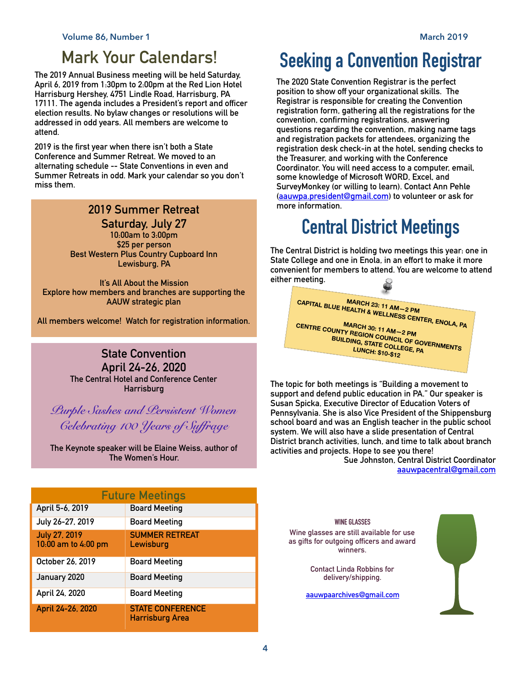## **Mark Your Calendars!**

**The 2019 Annual Business meeting will be held Saturday, April 6, 2019 from 1:30pm to 2:00pm at the Red Lion Hotel Harrisburg Hershey, 4751 Lindle Road, Harrisburg, PA 17111. The agenda includes a President's report and officer election results. No bylaw changes or resolutions will be addressed in odd years. All members are welcome to attend.** 

**2019 is the first year when there isn't both a State Conference and Summer Retreat. We moved to an alternating schedule -- State Conventions in even and Summer Retreats in odd. Mark your calendar so you don't miss them.**

## **2019 Summer Retreat**

**Saturday, July 27 10:00am to 3:00pm \$25 per person Best Western Plus Country Cupboard Inn Lewisburg, PA** 

**It's All About the Mission Explore how members and branches are supporting the AAUW strategic plan** 

**All members welcome! Watch for registration information.** 

## **State Convention April 24-26, 2020 The Central Hotel and Conference Center Harrisburg**

*Purple Sashes and Persistent Women Celebrating 100 Years of Suffrage* 

**The Keynote speaker will be Elaine Weiss, author of The Women's Hour.** 

| <b>Future Meetings</b>                      |                                            |
|---------------------------------------------|--------------------------------------------|
| April 5-6, 2019                             | <b>Board Meeting</b>                       |
| July 26-27, 2019                            | <b>Board Meeting</b>                       |
| <b>July 27, 2019</b><br>10:00 am to 4:00 pm | <b>SUMMER RETREAT</b><br>Lewisburg         |
| October 26, 2019                            | Board Meeting                              |
| January 2020                                | <b>Board Meeting</b>                       |
| April 24, 2020                              | <b>Board Meeting</b>                       |
| April 24-26, 2020                           | <b>STATE CONFERENCE</b><br>Harrisburg Area |

## **Seeking a Convention Registrar**

**The 2020 State Convention Registrar is the perfect position to show off your organizational skills. The Registrar is responsible for creating the Convention registration form, gathering all the registrations for the convention, confirming registrations, answering questions regarding the convention, making name tags and registration packets for attendees, organizing the registration desk check-in at the hotel, sending checks to the Treasurer, and working with the Conference Coordinator. You will need access to a computer, email, some knowledge of Microsoft WORD, Excel, and SurveyMonkey (or willing to learn). Contact Ann Pehle [\(aauwpa.president@gmail.com](mailto:aauwpa.president@gmail.com)) to volunteer or ask for more information.** 

## **Central District Meetings**

**The Central District is holding two meetings this year: one in State College and one in Enola, in an effort to make it more convenient for members to attend. You are welcome to attend either meeting.** 



**The topic for both meetings is "Building a movement to support and defend public education in PA." Our speaker is Susan Spicka, Executive Director of Education Voters of Pennsylvania. She is also Vice President of the Shippensburg school board and was an English teacher in the public school system. We will also have a slide presentation of Central District branch activities, lunch, and time to talk about branch activities and projects. Hope to see you there!** 

**Sue Johnston, Central District Coordinator [aauwpacentral@gmail.com](mailto:aauwpacentral@gmail.com)**

#### **WINE GLASSES**

**Wine glasses are still available for use as gifts for outgoing officers and award winners.** 

> **Contact Linda Robbins for delivery/shipping.**

**[aauwpaarchives@gmail.com](mailto:aauwpaarchives@gmail.com)**

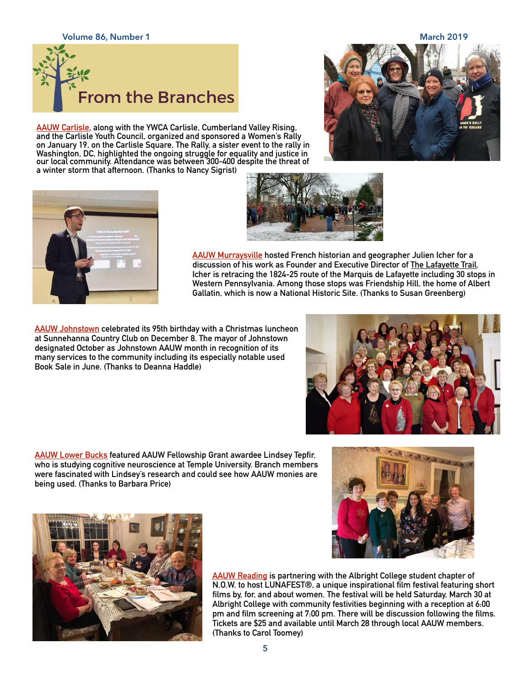**Volume 86, Number 1 March 2019**



**AAUW Carlisle, along with the YWCA Carlisle, Cumberland Valley Rising, and the Carlisle Youth Council, organized and sponsored a Women's Rally on January 19, on the Carlisle Square. The Rally, a sister event to the rally in Washington, DC, highlighted the ongoing struggle for equality and justice in our local community. Attendance was between 300-400 despite the threat of a winter storm that afternoon. (Thanks to Nancy Sigrist)**







**AAUW Murraysville hosted French historian and geographer Julien Icher for a discussion of his work as Founder and Executive Director of [The Lafayette Trail.](http://www.thelafayettetrail.com/) Icher is retracing the 1824-25 route of the Marquis de Lafayette including 30 stops in Western Pennsylvania. Among those stops was Friendship Hill, the home of Albert Gallatin, which is now a National Historic Site. (Thanks to Susan Greenberg)**

**AAUW Johnstown celebrated its 95th birthday with a Christmas luncheon at Sunnehanna Country Club on December 8. The mayor of Johnstown designated October as Johnstown AAUW month in recognition of its many services to the community including its especially notable used Book Sale in June. (Thanks to Deanna Haddle)** 

**AAUW Lower Bucks featured AAUW Fellowship Grant awardee Lindsey Tepfir, who is studying cognitive neuroscience at Temple University. Branch members were fascinated with Lindsey's research and could see how AAUW monies are being used. (Thanks to Barbara Price)**







**AAUW Reading is partnering with the Albright College student chapter of N.O.W. to host LUNAFEST®, a unique inspirational film festival featuring short films by, for, and about women. The festival will be held Saturday, March 30 at Albright College with community festivities beginning with a reception at 6:00 pm and film screening at 7:00 pm. There will be discussion following the films. Tickets are \$25 and available until March 28 through local AAUW members. (Thanks to Carol Toomey)**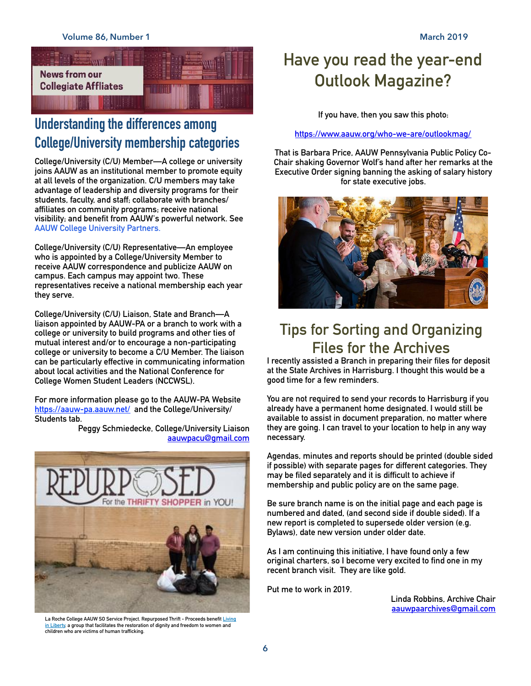

## **Understanding the differences among College/University membership categories**

**College/University (C/U) Member—A college or university joins AAUW as an institutional member to promote equity at all levels of the organization. C/U members may take advantage of leadership and diversity programs for their students, faculty, and staff; collaborate with branches/ affiliates on community programs; receive national visibility; and benefit from AAUW's powerful network. See [AAUW College University Partners.](https://www.aauw.org/membership/college-university-partner/)** 

**College/University (C/U) Representative—An employee who is appointed by a College/University Member to receive AAUW correspondence and publicize AAUW on campus. Each campus may appoint two. These representatives receive a national membership each year they serve.** 

**College/University (C/U) Liaison, State and Branch—A liaison appointed by AAUW-PA or a branch to work with a college or university to build programs and other ties of mutual interest and/or to encourage a non-participating college or university to become a C/U Member. The liaison can be particularly effective in communicating information about local activities and the National Conference for College Women Student Leaders (NCCWSL).** 

**For more information please go to the AAUW-PA Website <https://aauw-pa.aauw.net/> and the College/University/ Students tab.** 

> **Peggy Schmiedecke, College/University Liaison [aauwpacu@gmail.com](mailto:aauwpacu@gmail.com)**



**La Roche College AAUW SO Service Project. Repurposed Thrift - Proceeds benefit [Living](http://www.livinginliberty.org/)  [in Liberty,](http://www.livinginliberty.org/) a group that facilitates the restoration of dignity and freedom to women and children who are victims of human trafficking.**

## **Have you read the year-end Outlook Magazine?**

**If you have, then you saw this photo:** 

**<https://www.aauw.org/who-we-are/outlookmag/>**

**That is Barbara Price, AAUW Pennsylvania Public Policy Co-Chair shaking Governor Wolf's hand after her remarks at the Executive Order signing banning the asking of salary history for state executive jobs.**



## **Tips for Sorting and Organizing Files for the Archives**

**I recently assisted a Branch in preparing their files for deposit at the State Archives in Harrisburg. I thought this would be a good time for a few reminders.** 

**You are not required to send your records to Harrisburg if you already have a permanent home designated. I would still be available to assist in document preparation, no matter where they are going. I can travel to your location to help in any way necessary.** 

**Agendas, minutes and reports should be printed (double sided if possible) with separate pages for different categories. They may be filed separately and it is difficult to achieve if membership and public policy are on the same page.** 

**Be sure branch name is on the initial page and each page is numbered and dated, (and second side if double sided). If a new report is completed to supersede older version (e.g. Bylaws), date new version under older date.** 

**As I am continuing this initiative, I have found only a few original charters, so I become very excited to find one in my recent branch visit. They are like gold.** 

**Put me to work in 2019.** 

**Linda Robbins, Archive Chair [aauwpaarchives@gmail.com](mailto:aauwpaarchives@gmail.com)**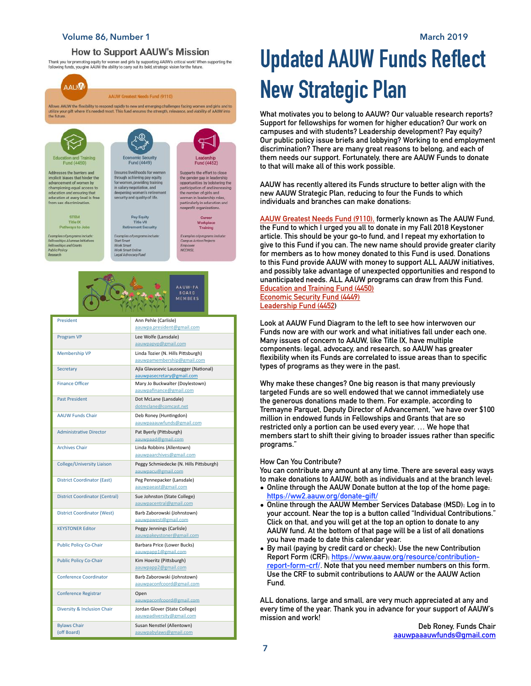#### **Volume 86, Number 1 March 2019**

#### **How to Support AAUW's Mission**

Thank you for promoting equity for women and girls by supporting AAUW's critical work! When supporting the following the following functs, you give AAUW the ability to carry out its bold, strategic vision for the future.



AAUW-PA MEMBERS

#### President Ann Pehle (Carlisle) [aauwpa.president@gmail.com](mailto:aauwpa.president@gmail.com) Program VP Lee Wolfe (Lansdale) [aauwpapvp@gmail.com](mailto:aauwpapvp@gmail.com) Membership VP Linda Tozier (N. Hills Pittsburgh) aauwpamembership@gmail. Secretary **Ajla Glavasevic Laussegger (National)** Ajla Glavasevic Laussegger (National) [aauwpasecretary@gmail.com](mailto:aauwpasecretary@gmail.com) Finance Officer Mary Jo Buckwalter (Doylestown) [aauwpafinance@gmail.com](mailto:aauwpafinance@gmail.com) Past President Dot McLane (Lansdale) [dotmclane@comcast.net](mailto:dotmclane@comcast.net) AAUW Funds Chair Deb Roney (Huntingdon) [aauwpaaauwfunds@gmail.com](mailto:aauwpaaauwfunds@gmail.com) Administrative Director **Pat Byerly (Pittsburgh)** [aauwpaad@gmail.com](mailto:aauwpaad@gmail.com) Archives Chair **Linda Robbins (Allentown)** [aauwpaarchives@gmail.com](mailto:aauwpaarchives@gmail.com) College/University Liaison Peggy Schmiedecke (N. Hills Pittsburgh) [aauwpacu@gmail.com](mailto:aauwpacu@gmail.com) District Coordinator (East) Peg Pennepacker (Lansdale) [aauwpaeast@gmail.com](mailto:aauwpaeast@gmail.com) District Coordinator (Central) Sue Johnston (State College) [aauwpacentral@gmail.com](mailto:aauwpacentral@gmail.com) District Coordinator (West) Barb Zaborowski (Johnstown) [aauwpawest@gmail.com](mailto:aauwpawest@gmail.com) KEYSTONER Editor Peggy Jennings (Carlisle) [aauwpakeystoner@gmail.com](mailto:aauwpakeystoner@gmail.com) Public Policy Co-Chair **Barbara Price (Lower Bucks)** [aauwpapp1@gmail.com](mailto:aauwpapp1@gmail.com) Public Policy Co-Chair Kim Hoeritz (Pittsburgh) [aauwpapp2@gmail.com](mailto:aauwpapp2@gmail.com) Conference Coordinator Barb Zaborowski (Johnstown) [aauwpaconfcoord@gmail.com](mailto:aauwpaconfcoord@gmail.com) Conference Registrar **Open** [aauwpaconfcoord@gmail.com](mailto:aauwpaconfcoord@gmail.com) Diversity & Inclusion Chair Jordan Glover (State College) [aauwpadiversity@gmail.com](mailto:aauwpadiversity@gmail.com) Bylaws Chair (off Board) Susan Nenstiel (Allentown) [aauwpabylaws@gmail.com](mailto:aauwpabylaws@gmail.com)

## **Updated AAUW Funds Reflect New Strategic Plan**

**What motivates you to belong to AAUW? Our valuable research reports? Support for fellowships for women for higher education? Our work on campuses and with students? Leadership development? Pay equity? Our public policy issue briefs and lobbying? Working to end employment discrimination? There are many great reasons to belong, and each of them needs our support. Fortunately, there are AAUW Funds to donate to that will make all of this work possible.** 

**AAUW has recently altered its Funds structure to better align with the new AAUW Strategic Plan, reducing to four the Funds to which individuals and branches can make donations:** 

**AAUW Greatest Needs Fund (9110), formerly known as The AAUW Fund, the Fund to which I urged you all to donate in my Fall 2018 Keystoner article. This should be your go-to fund, and I repeat my exhortation to give to this Fund if you can. The new name should provide greater clarity for members as to how money donated to this Fund is used. Donations to this Fund provide AAUW with money to support ALL AAUW initiatives, and possibly take advantage of unexpected opportunities and respond to unanticipated needs. ALL AAUW programs can draw from this Fund. Education and Training Fund (4450) Economic Security Fund (4449) Leadership Fund (4452)** 

**Look at AAUW Fund Diagram to the left to see how interwoven our Funds now are with our work and what initiatives fall under each one. Many issues of concern to AAUW, like Title IX, have multiple components: legal, advocacy, and research, so AAUW has greater flexibility when its Funds are correlated to issue areas than to specific types of programs as they were in the past.** 

**Why make these changes? One big reason is that many previously targeted Funds are so well endowed that we cannot immediately use the generous donations made to them. For example, according to Tremayne Parquet, Deputy Director of Advancement, "we have over \$100 million in endowed funds in Fellowships and Grants that are so restricted only a portion can be used every year. … We hope that members start to shift their giving to broader issues rather than specific programs."** 

#### **How Can You Contribute?**

**You can contribute any amount at any time. There are several easy ways to make donations to AAUW, both as individuals and at the branch level:** 

- **• Online through the AAUW Donate button at the top of the home page: <https://ww2.aauw.org/donate-gift/>**
- **• Online through the AAUW Member Services Database (MSD): Log in to your account. Near the top is a button called "Individual Contributions." Click on that, and you will get at the top an option to donate to any AAUW fund. At the bottom of that page will be a list of all donations you have made to date this calendar year.**
- **• By mail (paying by credit card or check): Use the new Contribution Report Form (CRF): [https://www.aauw.org/resource/contribution](https://www.aauw.org/resource/contribution-report-form-crf/)[report-form-crf/](https://www.aauw.org/resource/contribution-report-form-crf/). Note that you need member numbers on this form. Use the CRF to submit contributions to AAUW or the AAUW Action Fund.**

**ALL donations, large and small, are very much appreciated at any and every time of the year. Thank you in advance for your support of AAUW's mission and work!**